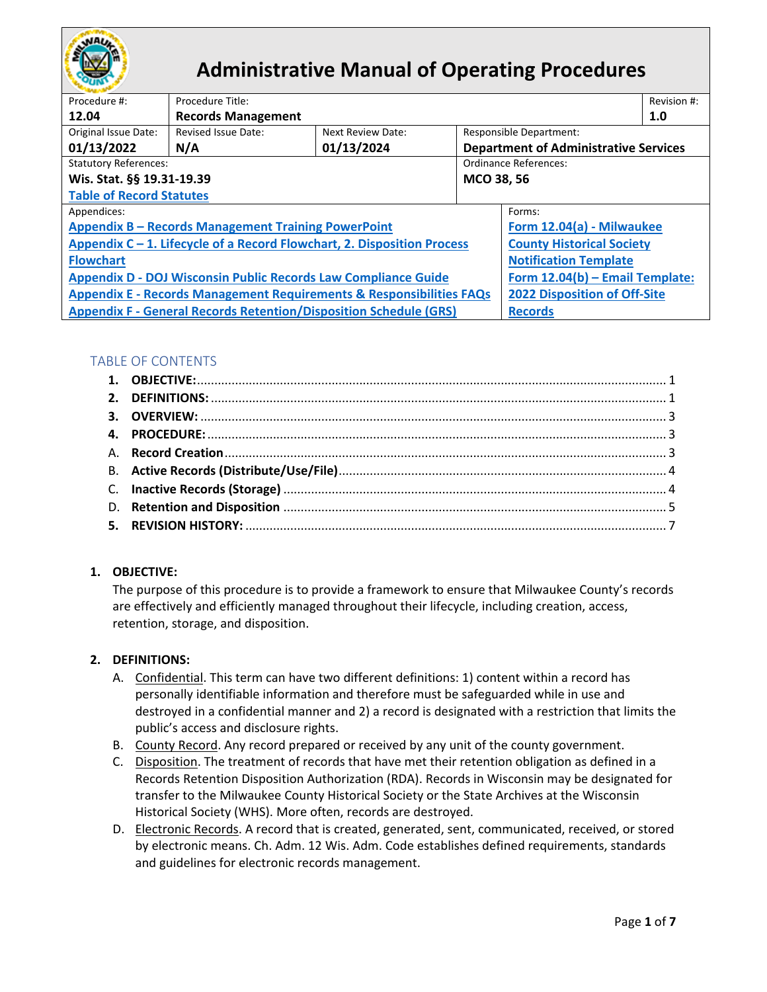

# **Administrative Manual of Operating Procedures**

| Procedure #:                                                                    | Procedure Title:           |                   |                                              |                                     | Revision #: |  |
|---------------------------------------------------------------------------------|----------------------------|-------------------|----------------------------------------------|-------------------------------------|-------------|--|
| 12.04                                                                           | <b>Records Management</b>  |                   |                                              |                                     | 1.0         |  |
| Original Issue Date:                                                            | <b>Revised Issue Date:</b> | Next Review Date: |                                              | Responsible Department:             |             |  |
| 01/13/2022                                                                      | N/A                        | 01/13/2024        | <b>Department of Administrative Services</b> |                                     |             |  |
| <b>Statutory References:</b>                                                    |                            |                   | Ordinance References:                        |                                     |             |  |
| Wis. Stat. §§ 19.31-19.39                                                       |                            |                   | MCO 38, 56                                   |                                     |             |  |
| <b>Table of Record Statutes</b>                                                 |                            |                   |                                              |                                     |             |  |
| Appendices:                                                                     |                            |                   |                                              | Forms:                              |             |  |
| <b>Appendix B - Records Management Training PowerPoint</b>                      |                            |                   |                                              | Form 12.04(a) - Milwaukee           |             |  |
| Appendix C – 1. Lifecycle of a Record Flowchart, 2. Disposition Process         |                            |                   | <b>County Historical Society</b>             |                                     |             |  |
| <b>Flowchart</b>                                                                |                            |                   |                                              | <b>Notification Template</b>        |             |  |
| <b>Appendix D - DOJ Wisconsin Public Records Law Compliance Guide</b>           |                            |                   | Form 12.04(b) - Email Template:              |                                     |             |  |
| <b>Appendix E - Records Management Requirements &amp; Responsibilities FAQs</b> |                            |                   |                                              | <b>2022 Disposition of Off-Site</b> |             |  |
| <b>Appendix F - General Records Retention/Disposition Schedule (GRS)</b>        |                            |                   | <b>Records</b>                               |                                     |             |  |

## TABLE OF CONTENTS

## <span id="page-0-0"></span>**1. OBJECTIVE:**

The purpose of this procedure is to provide a framework to ensure that Milwaukee County's records are effectively and efficiently managed throughout their lifecycle, including creation, access, retention, storage, and disposition.

#### <span id="page-0-1"></span>**2. DEFINITIONS:**

- A. Confidential. This term can have two different definitions: 1) content within a record has personally identifiable information and therefore must be safeguarded while in use and destroyed in a confidential manner and 2) a record is designated with a restriction that limits the public's access and disclosure rights.
- B. County Record. Any record prepared or received by any unit of the county government.
- C. Disposition. The treatment of records that have met their retention obligation as defined in a Records Retention Disposition Authorization (RDA). Records in Wisconsin may be designated for transfer to the Milwaukee County Historical Society or the State Archives at the Wisconsin Historical Society (WHS). More often, records are destroyed.
- D. Electronic Records. A record that is created, generated, sent, communicated, received, or stored by electronic means. Ch. Adm. 12 Wis. Adm. Code establishes defined requirements, standards and guidelines for electronic records management.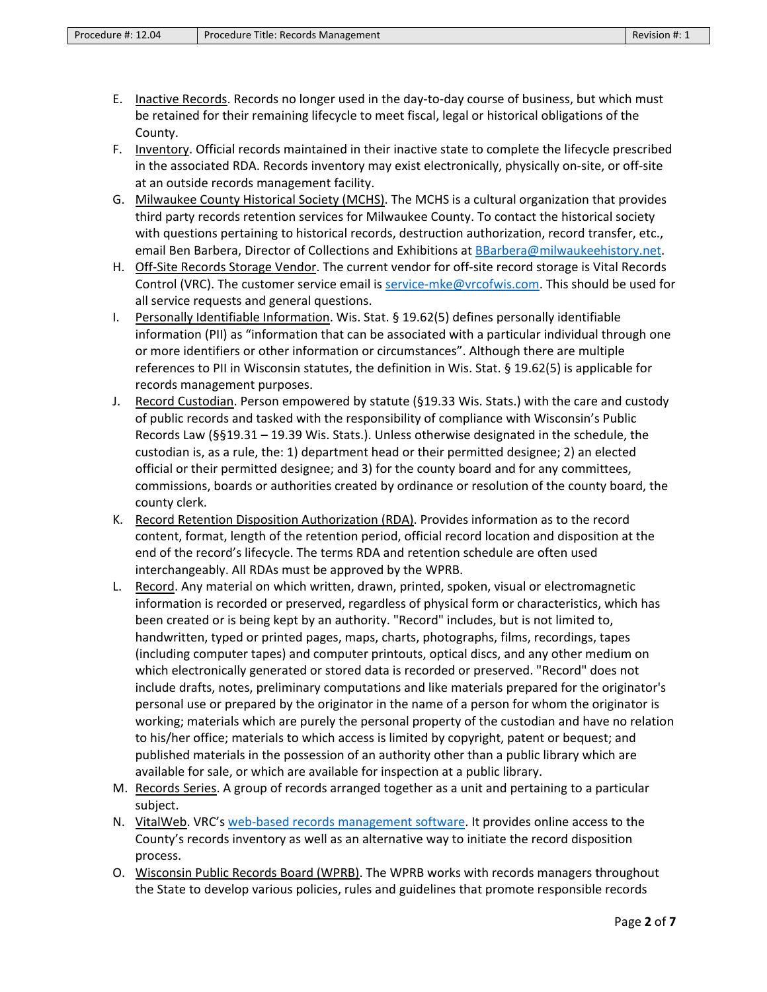- E. Inactive Records. Records no longer used in the day-to-day course of business, but which must be retained for their remaining lifecycle to meet fiscal, legal or historical obligations of the County.
- F. Inventory. Official records maintained in their inactive state to complete the lifecycle prescribed in the associated RDA. Records inventory may exist electronically, physically on-site, or off-site at an outside records management facility.
- G. Milwaukee County Historical Society (MCHS). The MCHS is a cultural organization that provides third party records retention services for Milwaukee County. To contact the historical society with questions pertaining to historical records, destruction authorization, record transfer, etc., email Ben Barbera, Director of Collections and Exhibitions at [BBarbera@milwaukeehistory.net.](mailto:BBarbera@milwaukeehistory.net)
- H. Off-Site Records Storage Vendor. The current vendor for off-site record storage is Vital Records Control (VRC). The customer service email is [service-mke@vrcofwis.com.](mailto:service-mke@vrcofwis.com) This should be used for all service requests and general questions.
- I. Personally Identifiable Information. Wis. Stat. § 19.62(5) defines personally identifiable information (PII) as "information that can be associated with a particular individual through one or more identifiers or other information or circumstances". Although there are multiple references to PII in Wisconsin statutes, the definition in Wis. Stat. § 19.62(5) is applicable for records management purposes.
- J. Record Custodian. Person empowered by statute (§19.33 Wis. Stats.) with the care and custody of public records and tasked with the responsibility of compliance with Wisconsin's Public Records Law (§§19.31 – 19.39 Wis. Stats.). Unless otherwise designated in the schedule, the custodian is, as a rule, the: 1) department head or their permitted designee; 2) an elected official or their permitted designee; and 3) for the county board and for any committees, commissions, boards or authorities created by ordinance or resolution of the county board, the county clerk.
- K. Record Retention Disposition Authorization (RDA). Provides information as to the record content, format, length of the retention period, official record location and disposition at the end of the record's lifecycle. The terms RDA and retention schedule are often used interchangeably. All RDAs must be approved by the WPRB.
- L. Record. Any material on which written, drawn, printed, spoken, visual or electromagnetic information is recorded or preserved, regardless of physical form or characteristics, which has been created or is being kept by an authority. "Record" includes, but is not limited to, handwritten, typed or printed pages, maps, charts, photographs, films, recordings, tapes (including computer tapes) and computer printouts, optical discs, and any other medium on which electronically generated or stored data is recorded or preserved. "Record" does not include drafts, notes, preliminary computations and like materials prepared for the originator's personal use or prepared by the originator in the name of a person for whom the originator is working; materials which are purely the personal property of the custodian and have no relation to his/her office; materials to which access is limited by copyright, patent or bequest; and published materials in the possession of an authority other than a public library which are available for sale, or which are available for inspection at a public library.
- M. Records Series. A group of records arranged together as a unit and pertaining to a particular subject.
- N. VitalWeb. VRC's [web-based records management software.](https://gcc02.safelinks.protection.outlook.com/?url=https%3A%2F%2Fvitalweb.vitalrecordscontrol.com%2F&data=04%7C01%7Cuna.stojsavljevic%40milwaukeecountywi.gov%7Cd215ff5496244873cd7108d9c183ff26%7Cab0c01f619e54e299dab4d03f82b6495%7C0%7C0%7C637753595492337270%7CUnknown%7CTWFpbGZsb3d8eyJWIjoiMC4wLjAwMDAiLCJQIjoiV2luMzIiLCJBTiI6Ik1haWwiLCJXVCI6Mn0%3D%7C0&sdata=IVryhfZhrypDs%2FLmI07T2sGF534eTJ%2BST%2FcGhPFwPsg%3D&reserved=0) It provides online access to the County's records inventory as well as an alternative way to initiate the record disposition process.
- O. Wisconsin Public Records Board (WPRB). The WPRB works with records managers throughout the State to develop various policies, rules and guidelines that promote responsible records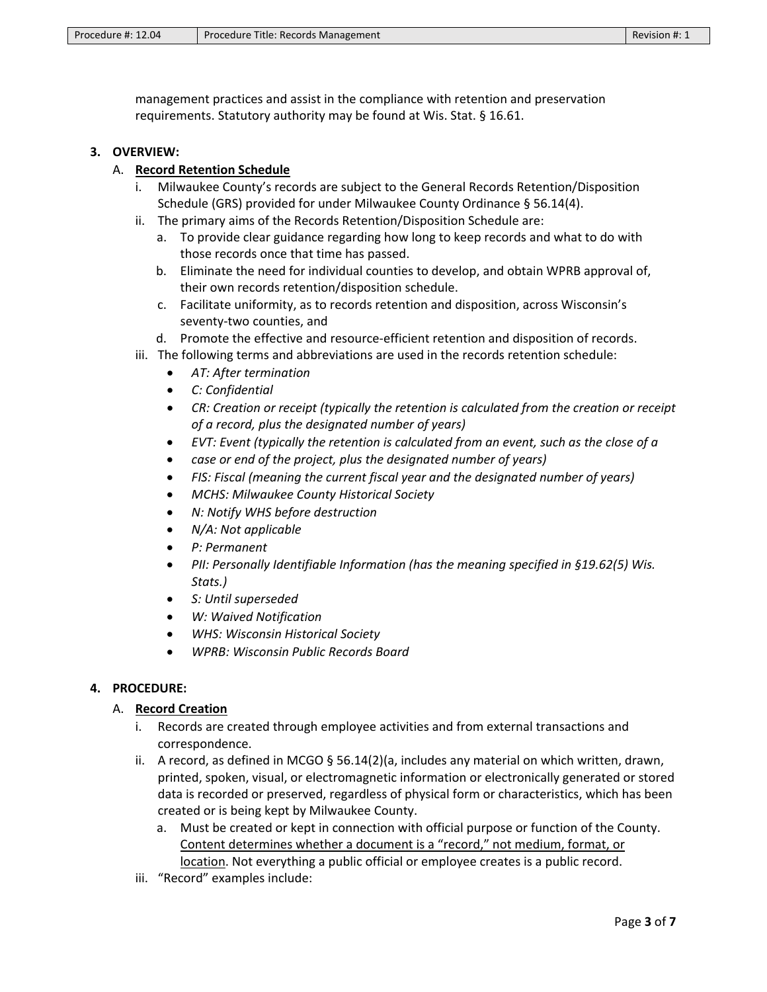management practices and assist in the compliance with retention and preservation requirements. Statutory authority may be found at Wis. Stat. § 16.61.

#### <span id="page-2-0"></span>**3. OVERVIEW:**

#### A. **Record Retention Schedule**

- i. Milwaukee County's records are subject to the General Records Retention/Disposition Schedule (GRS) provided for under Milwaukee County Ordinance § 56.14(4).
- ii. The primary aims of the Records Retention/Disposition Schedule are:
	- a. To provide clear guidance regarding how long to keep records and what to do with those records once that time has passed.
	- b. Eliminate the need for individual counties to develop, and obtain WPRB approval of, their own records retention/disposition schedule.
	- c. Facilitate uniformity, as to records retention and disposition, across Wisconsin's seventy-two counties, and
	- d. Promote the effective and resource-efficient retention and disposition of records.
- iii. The following terms and abbreviations are used in the records retention schedule:
	- *AT: After termination*
	- *C: Confidential*
	- *CR: Creation or receipt (typically the retention is calculated from the creation or receipt of a record, plus the designated number of years)*
	- *EVT: Event (typically the retention is calculated from an event, such as the close of a*
	- *case or end of the project, plus the designated number of years)*
	- *FIS: Fiscal (meaning the current fiscal year and the designated number of years)*
	- *MCHS: Milwaukee County Historical Society*
	- *N: Notify WHS before destruction*
	- *N/A: Not applicable*
	- *P: Permanent*
	- *PII: Personally Identifiable Information (has the meaning specified in §19.62(5) Wis. Stats.)*
	- *S: Until superseded*
	- *W: Waived Notification*
	- *WHS: Wisconsin Historical Society*
	- *WPRB: Wisconsin Public Records Board*

#### <span id="page-2-2"></span><span id="page-2-1"></span>**4. PROCEDURE:**

#### A. **Record Creation**

- i. Records are created through employee activities and from external transactions and correspondence.
- ii. A record, as defined in MCGO § 56.14(2)(a, includes any material on which written, drawn, printed, spoken, visual, or electromagnetic information or electronically generated or stored data is recorded or preserved, regardless of physical form or characteristics, which has been created or is being kept by Milwaukee County.
	- a. Must be created or kept in connection with official purpose or function of the County. Content determines whether a document is a "record," not medium, format, or location. Not everything a public official or employee creates is a public record.
- iii. "Record" examples include: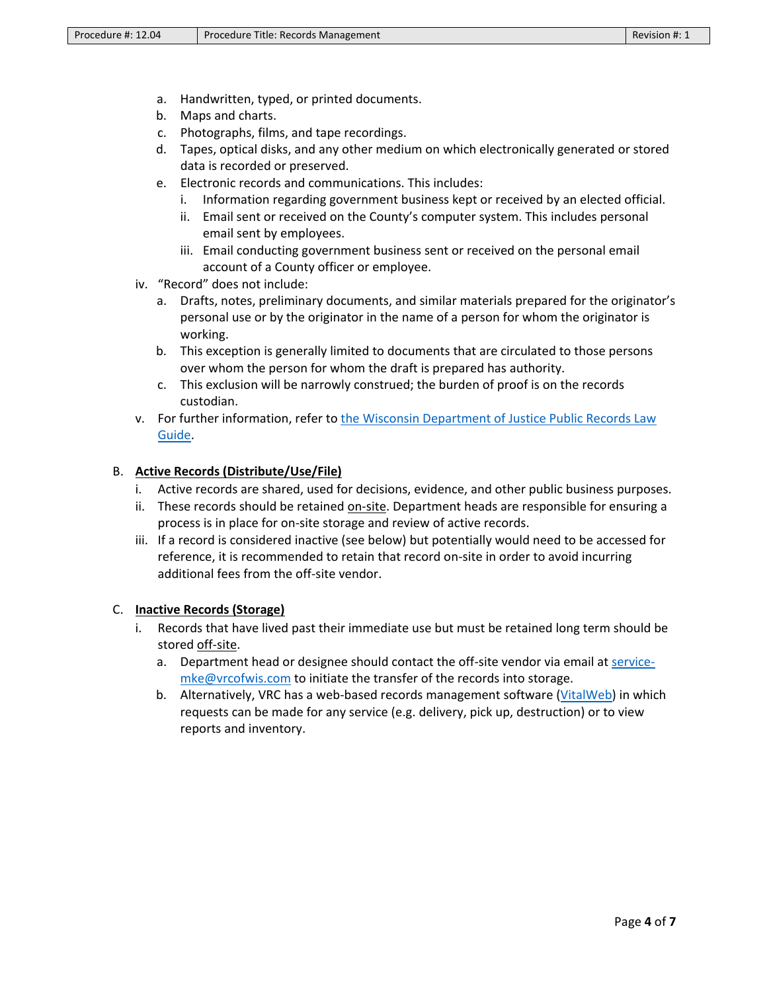- a. Handwritten, typed, or printed documents.
- b. Maps and charts.
- c. Photographs, films, and tape recordings.
- d. Tapes, optical disks, and any other medium on which electronically generated or stored data is recorded or preserved.
- e. Electronic records and communications. This includes:
	- i. Information regarding government business kept or received by an elected official.
	- ii. Email sent or received on the County's computer system. This includes personal email sent by employees.
	- iii. Email conducting government business sent or received on the personal email account of a County officer or employee.
- iv. "Record" does not include:
	- a. Drafts, notes, preliminary documents, and similar materials prepared for the originator's personal use or by the originator in the name of a person for whom the originator is working.
	- b. This exception is generally limited to documents that are circulated to those persons over whom the person for whom the draft is prepared has authority.
	- c. This exclusion will be narrowly construed; the burden of proof is on the records custodian.
- v. For further information, refer to [the Wisconsin Department of Justice Public Records Law](https://www.doj.state.wi.us/sites/default/files/office-open-government/Resources/PRL-GUIDE.pdf) [Guide.](https://www.doj.state.wi.us/sites/default/files/office-open-government/Resources/PRL-GUIDE.pdf)

### <span id="page-3-0"></span>B. **Active Records (Distribute/Use/File)**

- i. Active records are shared, used for decisions, evidence, and other public business purposes.
- ii. These records should be retained on-site. Department heads are responsible for ensuring a process is in place for on-site storage and review of active records.
- iii. If a record is considered inactive (see below) but potentially would need to be accessed for reference, it is recommended to retain that record on-site in order to avoid incurring additional fees from the off-site vendor.

#### <span id="page-3-1"></span>C. **Inactive Records (Storage)**

- i. Records that have lived past their immediate use but must be retained long term should be stored off-site.
	- a. Department head or designee should contact the off-site vendor via email a[t service](mailto:service-mke@vrcofwis.com)[mke@vrcofwis.com](mailto:service-mke@vrcofwis.com) to initiate the transfer of the records into storage.
	- b. Alternatively, VRC has a web-based records management software [\(VitalWeb\)](https://gcc02.safelinks.protection.outlook.com/?url=https%3A%2F%2Fvitalweb.vitalrecordscontrol.com%2F&data=04%7C01%7Cuna.stojsavljevic%40milwaukeecountywi.gov%7Cd215ff5496244873cd7108d9c183ff26%7Cab0c01f619e54e299dab4d03f82b6495%7C0%7C0%7C637753595492337270%7CUnknown%7CTWFpbGZsb3d8eyJWIjoiMC4wLjAwMDAiLCJQIjoiV2luMzIiLCJBTiI6Ik1haWwiLCJXVCI6Mn0%3D%7C0&sdata=IVryhfZhrypDs%2FLmI07T2sGF534eTJ%2BST%2FcGhPFwPsg%3D&reserved=0) in which requests can be made for any service (e.g. delivery, pick up, destruction) or to view reports and inventory.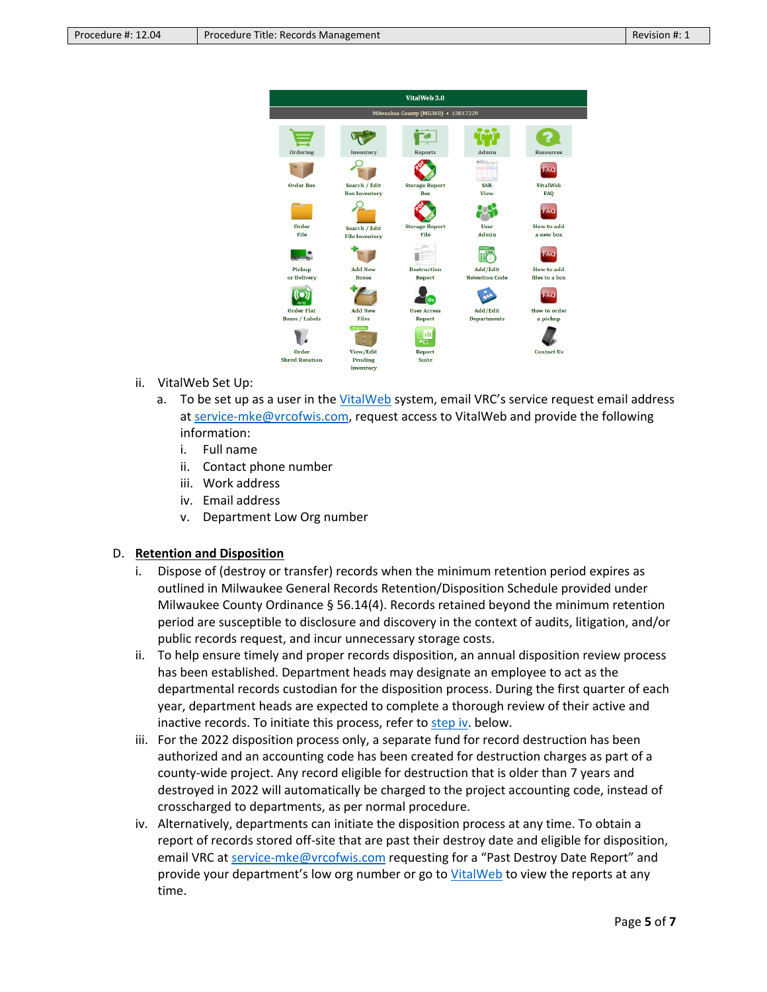| VitalWeb 3.0                        |                       |                       |                       |                     |  |
|-------------------------------------|-----------------------|-----------------------|-----------------------|---------------------|--|
| Milwaukee County (MILW8) • 13017229 |                       |                       |                       |                     |  |
|                                     |                       |                       |                       |                     |  |
| Ordering                            | Inventory             | <b>Reports</b>        | Admin                 | <b>Resources</b>    |  |
|                                     |                       |                       | $n$ llin              | FAO                 |  |
| <b>Order Box</b>                    | Search / Edit         | <b>Storage Report</b> | <b>SAR</b>            | <b>VitalWeb</b>     |  |
|                                     | <b>Box Inventory</b>  | <b>Box</b>            | <b>View</b>           | <b>FAQ</b>          |  |
|                                     |                       |                       |                       | FATO.               |  |
| Order                               | Search / Edit         | <b>Storage Report</b> | <b>User</b>           | How to add          |  |
| File                                | <b>File Inventory</b> | <b>File</b>           | Admin                 | a new box           |  |
|                                     |                       |                       |                       | <b>FAC</b>          |  |
| Pickup                              | <b>Add New</b>        | <b>Destruction</b>    | Add/Edit              | How to add          |  |
| or Delivery                         | <b>Boxes</b>          | <b>Report</b>         | <b>Retention Code</b> | files to a box      |  |
| <b>DESP</b>                         |                       | $\sigma$              |                       |                     |  |
| <b>Order Flat</b>                   | <b>Add New</b>        | <b>User Access</b>    | Add/Edit              | <b>How to order</b> |  |
| <b>Boxes / Labels</b>               | <b>Files</b>          | <b>Report</b>         | <b>Departments</b>    | a pickup            |  |
|                                     | PENDING               | البه<br>EП            |                       |                     |  |
| Order                               | View/Edit             | <b>Report</b>         |                       | <b>Contact Us</b>   |  |
| <b>Shred Rotation</b>               | Pending               | <b>Suite</b>          |                       |                     |  |
|                                     | Inventory             |                       |                       |                     |  |

- ii. VitalWeb Set Up:
	- a. To be set up as a user in the [VitalWeb](https://gcc02.safelinks.protection.outlook.com/?url=https%3A%2F%2Fvitalweb.vitalrecordscontrol.com%2F&data=04%7C01%7Cuna.stojsavljevic%40milwaukeecountywi.gov%7Cd215ff5496244873cd7108d9c183ff26%7Cab0c01f619e54e299dab4d03f82b6495%7C0%7C0%7C637753595492337270%7CUnknown%7CTWFpbGZsb3d8eyJWIjoiMC4wLjAwMDAiLCJQIjoiV2luMzIiLCJBTiI6Ik1haWwiLCJXVCI6Mn0%3D%7C0&sdata=IVryhfZhrypDs%2FLmI07T2sGF534eTJ%2BST%2FcGhPFwPsg%3D&reserved=0) system, email VRC's service request email address at [service-mke@vrcofwis.com,](mailto:service-mke@vrcofwis.com) request access to VitalWeb and provide the following information:
		- i. Full name
		- ii. Contact phone number
		- iii. Work address
		- iv. Email address
		- v. Department Low Org number

#### <span id="page-4-0"></span>D. **Retention and Disposition**

- i. Dispose of (destroy or transfer) records when the minimum retention period expires as outlined in Milwaukee General Records Retention/Disposition Schedule provided under Milwaukee County Ordinance § 56.14(4). Records retained beyond the minimum retention period are susceptible to disclosure and discovery in the context of audits, litigation, and/or public records request, and incur unnecessary storage costs.
- ii. To help ensure timely and proper records disposition, an annual disposition review process has been established. Department heads may designate an employee to act as the departmental records custodian for the disposition process. During the first quarter of each year, department heads are expected to complete a thorough review of their active and inactive records. To initiate this process, refer to [step iv.](#page-4-1) below.
- iii. For the 2022 disposition process only, a separate fund for record destruction has been authorized and an accounting code has been created for destruction charges as part of a county-wide project. Any record eligible for destruction that is older than 7 years and destroyed in 2022 will automatically be charged to the project accounting code, instead of crosscharged to departments, as per normal procedure.
- <span id="page-4-1"></span>iv. Alternatively, departments can initiate the disposition process at any time. To obtain a report of records stored off-site that are past their destroy date and eligible for disposition, email VRC at [service-mke@vrcofwis.com](mailto:service-mke@vrcofwis.com) requesting for a "Past Destroy Date Report" and provide your department's low org number or go to [VitalWeb](https://gcc02.safelinks.protection.outlook.com/?url=https%3A%2F%2Fvitalweb.vitalrecordscontrol.com%2F&data=04%7C01%7Cuna.stojsavljevic%40milwaukeecountywi.gov%7Cd215ff5496244873cd7108d9c183ff26%7Cab0c01f619e54e299dab4d03f82b6495%7C0%7C0%7C637753595492337270%7CUnknown%7CTWFpbGZsb3d8eyJWIjoiMC4wLjAwMDAiLCJQIjoiV2luMzIiLCJBTiI6Ik1haWwiLCJXVCI6Mn0%3D%7C0&sdata=IVryhfZhrypDs%2FLmI07T2sGF534eTJ%2BST%2FcGhPFwPsg%3D&reserved=0) to view the reports at any time.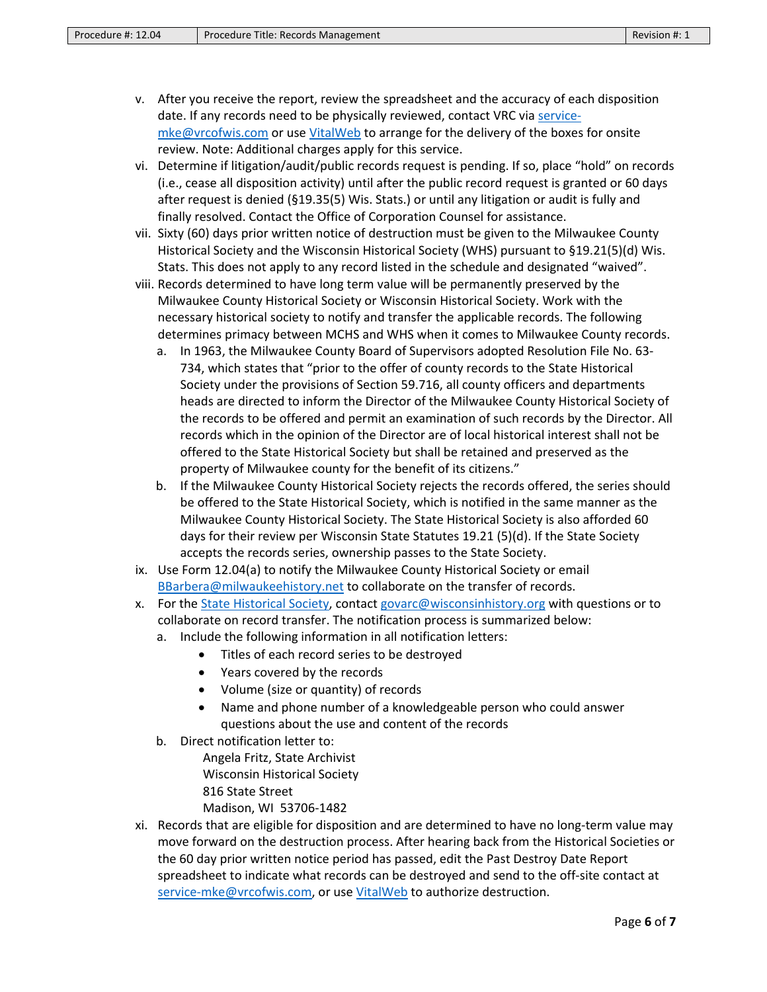- v. After you receive the report, review the spreadsheet and the accuracy of each disposition date. If any records need to be physically reviewed, contact VRC vi[a service](mailto:service-mke@vrcofwis.com)[mke@vrcofwis.com](mailto:service-mke@vrcofwis.com) or use [VitalWeb](https://gcc02.safelinks.protection.outlook.com/?url=https%3A%2F%2Fvitalweb.vitalrecordscontrol.com%2F&data=04%7C01%7Cuna.stojsavljevic%40milwaukeecountywi.gov%7Cd215ff5496244873cd7108d9c183ff26%7Cab0c01f619e54e299dab4d03f82b6495%7C0%7C0%7C637753595492337270%7CUnknown%7CTWFpbGZsb3d8eyJWIjoiMC4wLjAwMDAiLCJQIjoiV2luMzIiLCJBTiI6Ik1haWwiLCJXVCI6Mn0%3D%7C0&sdata=IVryhfZhrypDs%2FLmI07T2sGF534eTJ%2BST%2FcGhPFwPsg%3D&reserved=0) to arrange for the delivery of the boxes for onsite review. Note: Additional charges apply for this service.
- vi. Determine if litigation/audit/public records request is pending. If so, place "hold" on records (i.e., cease all disposition activity) until after the public record request is granted or 60 days after request is denied (§19.35(5) Wis. Stats.) or until any litigation or audit is fully and finally resolved. Contact the Office of Corporation Counsel for assistance.
- vii. Sixty (60) days prior written notice of destruction must be given to the Milwaukee County Historical Society and the Wisconsin Historical Society (WHS) pursuant to §19.21(5)(d) Wis. Stats. This does not apply to any record listed in the schedule and designated "waived".
- viii. Records determined to have long term value will be permanently preserved by the Milwaukee County Historical Society or Wisconsin Historical Society. Work with the necessary historical society to notify and transfer the applicable records. The following determines primacy between MCHS and WHS when it comes to Milwaukee County records.
	- a. In 1963, the Milwaukee County Board of Supervisors adopted Resolution File No. 63- 734, which states that "prior to the offer of county records to the State Historical Society under the provisions of Section 59.716, all county officers and departments heads are directed to inform the Director of the Milwaukee County Historical Society of the records to be offered and permit an examination of such records by the Director. All records which in the opinion of the Director are of local historical interest shall not be offered to the State Historical Society but shall be retained and preserved as the property of Milwaukee county for the benefit of its citizens."
	- b. If the Milwaukee County Historical Society rejects the records offered, the series should be offered to the State Historical Society, which is notified in the same manner as the Milwaukee County Historical Society. The State Historical Society is also afforded 60 days for their review per Wisconsin State Statutes 19.21 (5)(d). If the State Society accepts the records series, ownership passes to the State Society.
- ix. Use Form 12.04(a) to notify the Milwaukee County Historical Society or email [BBarbera@milwaukeehistory.net](mailto:BBarbera@milwaukeehistory.net) to collaborate on the transfer of records.
- x. For th[e State Historical Society,](https://www.wisconsinhistory.org/Records/Article/CS15489) contact [govarc@wisconsinhistory.org](mailto:govarc@wisconsinhistory.org) with questions or to collaborate on record transfer. The notification process is summarized below:
	- a. Include the following information in all notification letters:
		- Titles of each record series to be destroyed
		- Years covered by the records
		- Volume (size or quantity) of records
		- Name and phone number of a knowledgeable person who could answer questions about the use and content of the records
	- b. Direct notification letter to:
		- Angela Fritz, State Archivist Wisconsin Historical Society 816 State Street
			- Madison, WI 53706-1482
- xi. Records that are eligible for disposition and are determined to have no long-term value may move forward on the destruction process. After hearing back from the Historical Societies or the 60 day prior written notice period has passed, edit the Past Destroy Date Report spreadsheet to indicate what records can be destroyed and send to the off-site contact at [service-mke@vrcofwis.com,](mailto:service-mke@vrcofwis.com) or use [VitalWeb](https://gcc02.safelinks.protection.outlook.com/?url=https%3A%2F%2Fvitalweb.vitalrecordscontrol.com%2F&data=04%7C01%7Cuna.stojsavljevic%40milwaukeecountywi.gov%7Cd215ff5496244873cd7108d9c183ff26%7Cab0c01f619e54e299dab4d03f82b6495%7C0%7C0%7C637753595492337270%7CUnknown%7CTWFpbGZsb3d8eyJWIjoiMC4wLjAwMDAiLCJQIjoiV2luMzIiLCJBTiI6Ik1haWwiLCJXVCI6Mn0%3D%7C0&sdata=IVryhfZhrypDs%2FLmI07T2sGF534eTJ%2BST%2FcGhPFwPsg%3D&reserved=0) to authorize destruction.